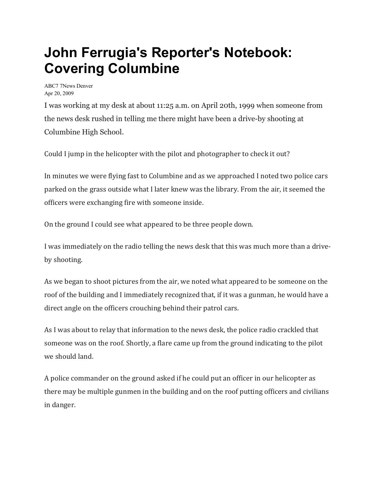## **John Ferrugia's Reporter's Notebook: Covering Columbine**

ABC7 7News Denver Apr 20, 2009

I was working at my desk at about 11:25 a.m. on April 20th, 1999 when someone from the news desk rushed in telling me there might have been a drive-by shooting at Columbine High School.

Could I jump in the helicopter with the pilot and photographer to check it out?

In minutes we were flying fast to Columbine and as we approached I noted two police cars parked on the grass outside what I later knew was the library. From the air, it seemed the officers were exchanging fire with someone inside.

On the ground I could see what appeared to be three people down.

I was immediately on the radio telling the news desk that this was much more than a driveby shooting.

As we began to shoot pictures from the air, we noted what appeared to be someone on the roof of the building and I immediately recognized that, if it was a gunman, he would have a direct angle on the officers crouching behind their patrol cars.

As I was about to relay that information to the news desk, the police radio crackled that someone was on the roof. Shortly, a flare came up from the ground indicating to the pilot we should land.

A police commander on the ground asked if he could put an officer in our helicopter as there may be multiple gunmen in the building and on the roof putting officers and civilians in danger.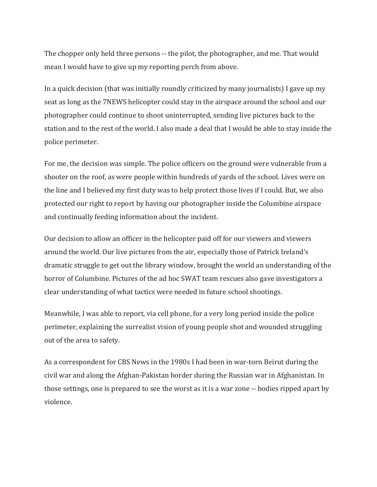The chopper only held three persons -- the pilot, the photographer, and me. That would mean I would have to give up my reporting perch from above.

In a quick decision (that was initially roundly criticized by many journalists) I gave up my seat as long as the 7NEWS helicopter could stay in the airspace around the school and our photographer could continue to shoot uninterrupted, sending live pictures back to the station and to the rest of the world. I also made a deal that I would be able to stay inside the police perimeter.

For me, the decision was simple. The police officers on the ground were vulnerable from a shooter on the roof, as were people within hundreds of yards of the school. Lives were on the line and I believed my first duty was to help protect those lives if I could. But, we also protected our right to report by having our photographer inside the Columbine airspace and continually feeding information about the incident.

Our decision to allow an officer in the helicopter paid off for our viewers and viewers around the world. Our live pictures from the air, especially those of Patrick Ireland's dramatic struggle to get out the library window, brought the world an understanding of the horror of Columbine. Pictures of the ad hoc SWAT team rescues also gave investigators a clear understanding of what tactics were needed in future school shootings.

Meanwhile, I was able to report, via cell phone, for a very long period inside the police perimeter, explaining the surrealist vision of young people shot and wounded struggling out of the area to safety.

As a correspondent for CBS News in the 1980s I had been in war-torn Beirut during the civil war and along the Afghan-Pakistan border during the Russian war in Afghanistan. In those settings, one is prepared to see the worst as it is a war zone -- bodies ripped apart by violence.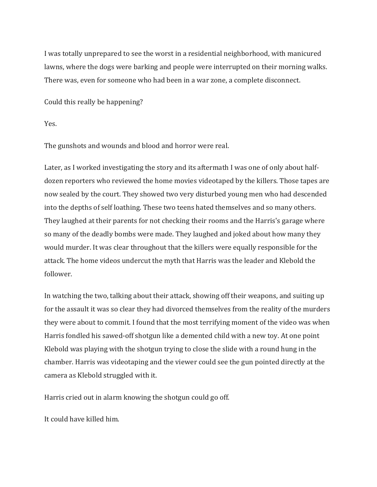I was totally unprepared to see the worst in a residential neighborhood, with manicured lawns, where the dogs were barking and people were interrupted on their morning walks. There was, even for someone who had been in a war zone, a complete disconnect.

Could this really be happening?

Yes.

The gunshots and wounds and blood and horror were real.

Later, as I worked investigating the story and its aftermath I was one of only about halfdozen reporters who reviewed the home movies videotaped by the killers. Those tapes are now sealed by the court. They showed two very disturbed young men who had descended into the depths of self loathing. These two teens hated themselves and so many others. They laughed at their parents for not checking their rooms and the Harris's garage where so many of the deadly bombs were made. They laughed and joked about how many they would murder. It was clear throughout that the killers were equally responsible for the attack. The home videos undercut the myth that Harris was the leader and Klebold the follower.

In watching the two, talking about their attack, showing off their weapons, and suiting up for the assault it was so clear they had divorced themselves from the reality of the murders they were about to commit. I found that the most terrifying moment of the video was when Harris fondled his sawed-off shotgun like a demented child with a new toy. At one point Klebold was playing with the shotgun trying to close the slide with a round hung in the chamber. Harris was videotaping and the viewer could see the gun pointed directly at the camera as Klebold struggled with it.

Harris cried out in alarm knowing the shotgun could go off.

It could have killed him.